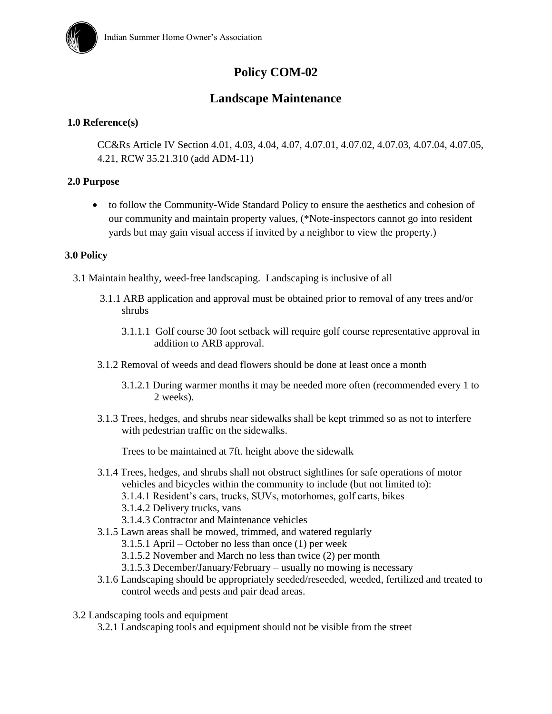

# **Policy COM-02**

# **Landscape Maintenance**

# **1.0 Reference(s)**

CC&Rs Article IV Section 4.01, 4.03, 4.04, 4.07, 4.07.01, 4.07.02, 4.07.03, 4.07.04, 4.07.05, 4.21, RCW 35.21.310 (add ADM-11)

#### **2.0 Purpose**

 to follow the Community-Wide Standard Policy to ensure the aesthetics and cohesion of our community and maintain property values, (\*Note-inspectors cannot go into resident yards but may gain visual access if invited by a neighbor to view the property.)

## **3.0 Policy**

3.1 Maintain healthy, weed-free landscaping. Landscaping is inclusive of all

- 3.1.1 ARB application and approval must be obtained prior to removal of any trees and/or shrubs
	- 3.1.1.1 Golf course 30 foot setback will require golf course representative approval in addition to ARB approval.
- 3.1.2 Removal of weeds and dead flowers should be done at least once a month
	- 3.1.2.1 During warmer months it may be needed more often (recommended every 1 to 2 weeks).
- 3.1.3 Trees, hedges, and shrubs near sidewalks shall be kept trimmed so as not to interfere with pedestrian traffic on the sidewalks.

Trees to be maintained at 7ft. height above the sidewalk

- 3.1.4 Trees, hedges, and shrubs shall not obstruct sightlines for safe operations of motor vehicles and bicycles within the community to include (but not limited to):
	- 3.1.4.1 Resident's cars, trucks, SUVs, motorhomes, golf carts, bikes
	- 3.1.4.2 Delivery trucks, vans
	- 3.1.4.3 Contractor and Maintenance vehicles
- 3.1.5 Lawn areas shall be mowed, trimmed, and watered regularly
	- 3.1.5.1 April October no less than once (1) per week
	- 3.1.5.2 November and March no less than twice (2) per month
	- 3.1.5.3 December/January/February usually no mowing is necessary
- 3.1.6 Landscaping should be appropriately seeded/reseeded, weeded, fertilized and treated to control weeds and pests and pair dead areas.
- 3.2 Landscaping tools and equipment

3.2.1 Landscaping tools and equipment should not be visible from the street